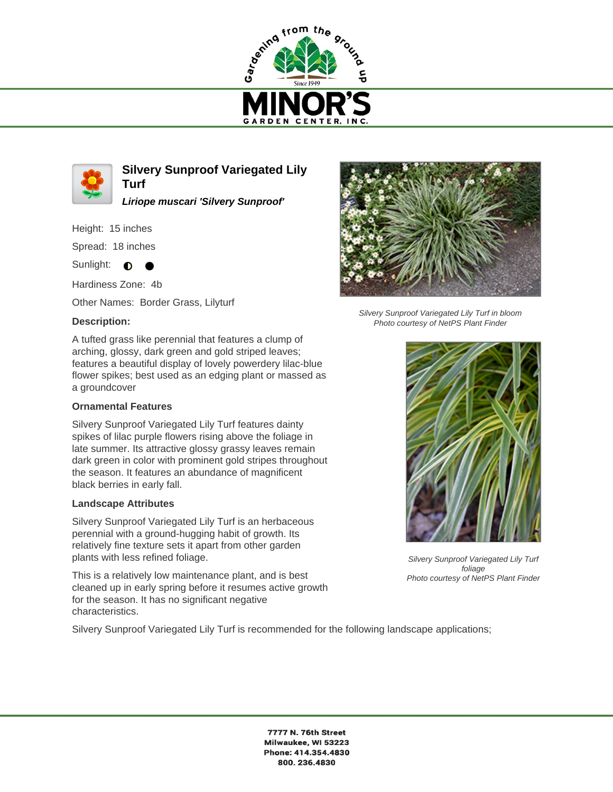



**Silvery Sunproof Variegated Lily Turf**

**Liriope muscari 'Silvery Sunproof'**

Height: 15 inches

Spread: 18 inches

Sunlight:  $\bullet$ ●

Hardiness Zone: 4b

Other Names: Border Grass, Lilyturf

## **Description:**

A tufted grass like perennial that features a clump of arching, glossy, dark green and gold striped leaves; features a beautiful display of lovely powerdery lilac-blue flower spikes; best used as an edging plant or massed as a groundcover

## **Ornamental Features**

Silvery Sunproof Variegated Lily Turf features dainty spikes of lilac purple flowers rising above the foliage in late summer. Its attractive glossy grassy leaves remain dark green in color with prominent gold stripes throughout the season. It features an abundance of magnificent black berries in early fall.

## **Landscape Attributes**

Silvery Sunproof Variegated Lily Turf is an herbaceous perennial with a ground-hugging habit of growth. Its relatively fine texture sets it apart from other garden plants with less refined foliage.

This is a relatively low maintenance plant, and is best cleaned up in early spring before it resumes active growth for the season. It has no significant negative characteristics.



Silvery Sunproof Variegated Lily Turf in bloom Photo courtesy of NetPS Plant Finder



Silvery Sunproof Variegated Lily Turf foliage Photo courtesy of NetPS Plant Finder

Silvery Sunproof Variegated Lily Turf is recommended for the following landscape applications;

7777 N. 76th Street Milwaukee, WI 53223 Phone: 414.354.4830 800.236.4830